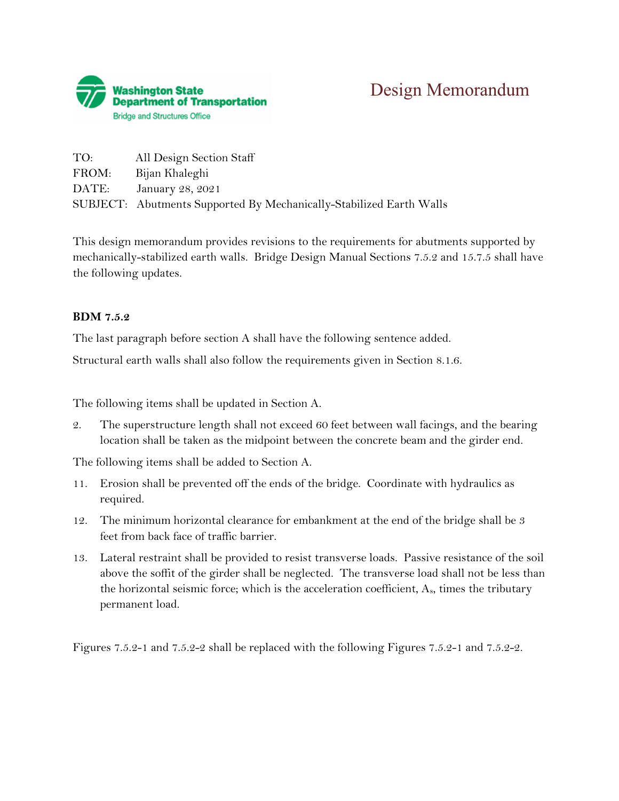

| TO:   | All Design Section Staff                                            |
|-------|---------------------------------------------------------------------|
| FROM: | Bijan Khaleghi                                                      |
| DATE: | January 28, 2021                                                    |
|       | SUBJECT: Abutments Supported By Mechanically-Stabilized Earth Walls |

This design memorandum provides revisions to the requirements for abutments supported by mechanically-stabilized earth walls. Bridge Design Manual Sections 7.5.2 and 15.7.5 shall have the following updates.

### **BDM 7.5.2**

The last paragraph before section A shall have the following sentence added.

Structural earth walls shall also follow the requirements given in Section 8.1.6.

The following items shall be updated in Section A.

2. The superstructure length shall not exceed 60 feet between wall facings, and the bearing location shall be taken as the midpoint between the concrete beam and the girder end.

The following items shall be added to Section A.

- 11. Erosion shall be prevented off the ends of the bridge. Coordinate with hydraulics as required.
- 12. The minimum horizontal clearance for embankment at the end of the bridge shall be 3 feet from back face of traffic barrier.
- 13. Lateral restraint shall be provided to resist transverse loads. Passive resistance of the soil above the soffit of the girder shall be neglected. The transverse load shall not be less than the horizontal seismic force; which is the acceleration coefficient,  $A_s$ , times the tributary permanent load.

Figures 7.5.2-1 and 7.5.2-2 shall be replaced with the following Figures 7.5.2-1 and 7.5.2-2.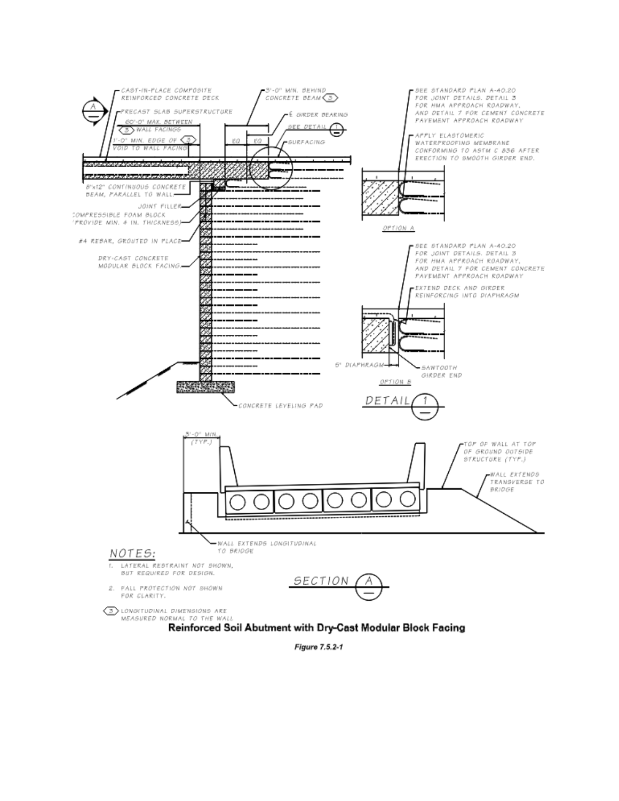

**Figure 7.5.2-1**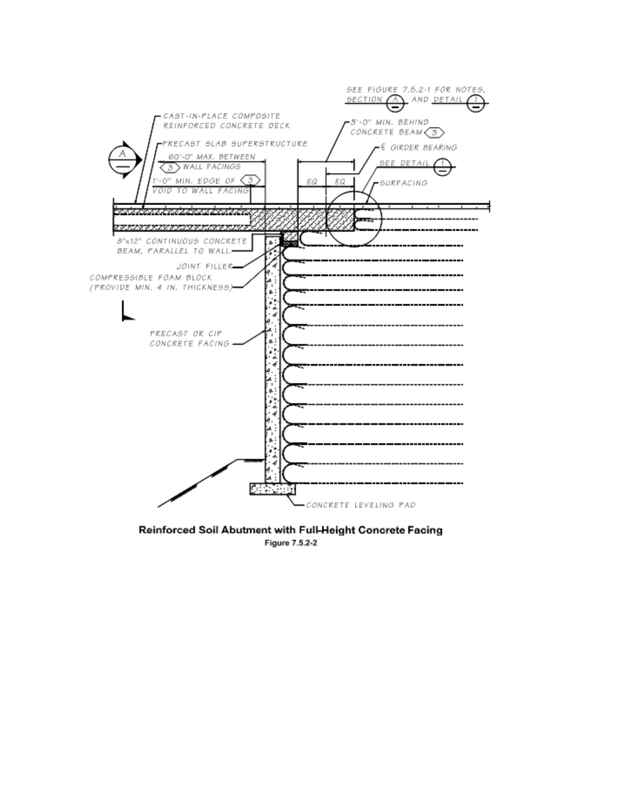

Reinforced Soil Abutment with Full-Height Concrete Facing Figure 7.5.2-2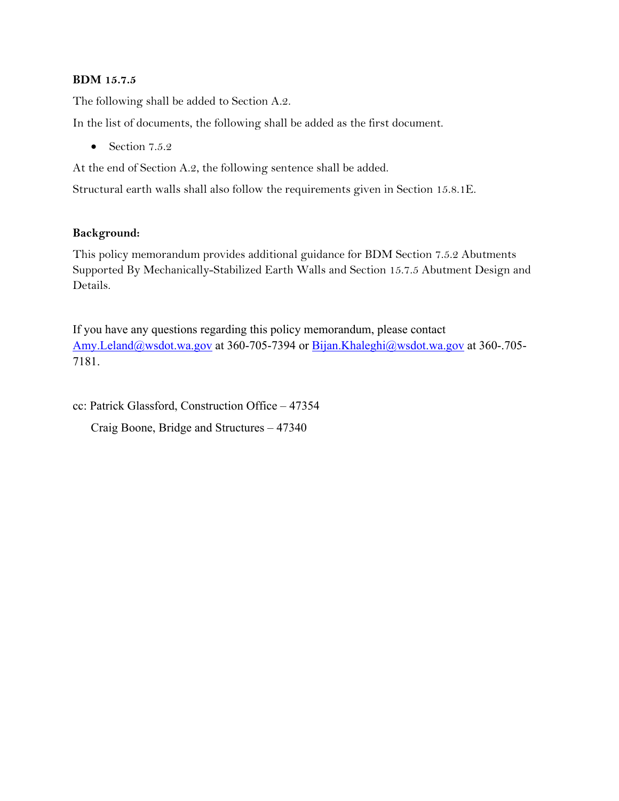### **BDM 15.7.5**

The following shall be added to Section A.2.

In the list of documents, the following shall be added as the first document.

 $\bullet$  Section 7.5.2

At the end of Section A.2, the following sentence shall be added.

Structural earth walls shall also follow the requirements given in Section 15.8.1E.

### **Background:**

This policy memorandum provides additional guidance for BDM Section 7.5.2 Abutments Supported By Mechanically-Stabilized Earth Walls and Section 15.7.5 Abutment Design and Details.

If you have any questions regarding this policy memorandum, please contact [Amy.Leland@wsdot.wa.gov](mailto:Amy.Leland@wsdot.wa.gov) at 360-705-7394 or [Bijan.Khaleghi@wsdot.wa.gov](mailto:Bijan.Khaleghi@wsdot.wa.gov) at 360-.705- 7181.

cc: Patrick Glassford, Construction Office – 47354

Craig Boone, Bridge and Structures – 47340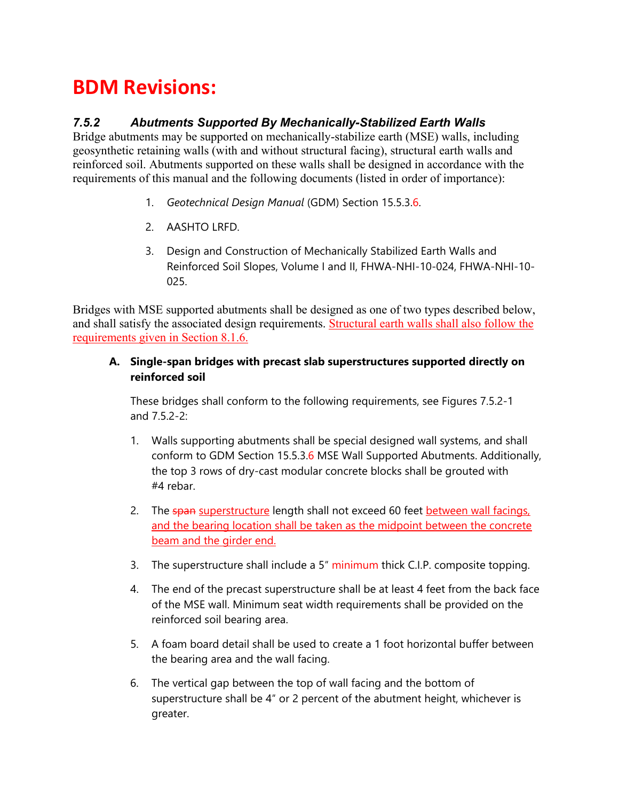# **BDM Revisions:**

# *7.5.2 Abutments Supported By Mechanically-Stabilized Earth Walls*

Bridge abutments may be supported on mechanically-stabilize earth (MSE) walls, including geosynthetic retaining walls (with and without structural facing), structural earth walls and reinforced soil. Abutments supported on these walls shall be designed in accordance with the requirements of this manual and the following documents (listed in order of importance):

- 1. *Geotechnical Design Manual* (GDM) Section 15.5.3.6.
- 2. AASHTO LRFD.
- 3. Design and Construction of Mechanically Stabilized Earth Walls and Reinforced Soil Slopes, Volume I and II, FHWA-NHI-10-024, FHWA-NHI-10- 025.

Bridges with MSE supported abutments shall be designed as one of two types described below, and shall satisfy the associated design requirements. Structural earth walls shall also follow the requirements given in Section 8.1.6.

### **A. Single-span bridges with precast slab superstructures supported directly on reinforced soil**

These bridges shall conform to the following requirements, see Figures 7.5.2-1 and 7.5.2-2:

- 1. Walls supporting abutments shall be special designed wall systems, and shall conform to GDM Section 15.5.3.6 MSE Wall Supported Abutments. Additionally, the top 3 rows of dry-cast modular concrete blocks shall be grouted with #4 rebar.
- 2. The span superstructure length shall not exceed 60 feet between wall facings, and the bearing location shall be taken as the midpoint between the concrete beam and the girder end.
- 3. The superstructure shall include a 5" minimum thick C.I.P. composite topping.
- 4. The end of the precast superstructure shall be at least 4 feet from the back face of the MSE wall. Minimum seat width requirements shall be provided on the reinforced soil bearing area.
- 5. A foam board detail shall be used to create a 1 foot horizontal buffer between the bearing area and the wall facing.
- 6. The vertical gap between the top of wall facing and the bottom of superstructure shall be 4″ or 2 percent of the abutment height, whichever is greater.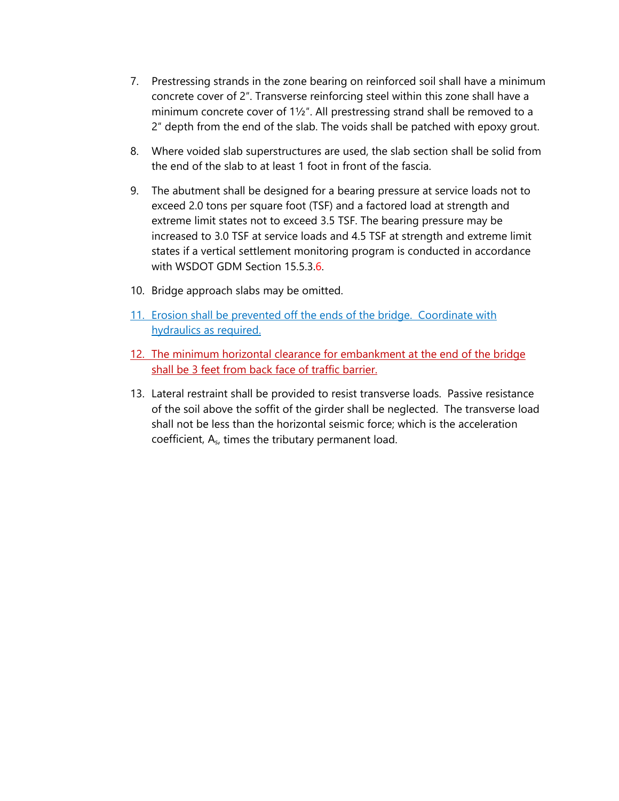- 7. Prestressing strands in the zone bearing on reinforced soil shall have a minimum concrete cover of 2″. Transverse reinforcing steel within this zone shall have a minimum concrete cover of 1½″. All prestressing strand shall be removed to a 2″ depth from the end of the slab. The voids shall be patched with epoxy grout.
- 8. Where voided slab superstructures are used, the slab section shall be solid from the end of the slab to at least 1 foot in front of the fascia.
- 9. The abutment shall be designed for a bearing pressure at service loads not to exceed 2.0 tons per square foot (TSF) and a factored load at strength and extreme limit states not to exceed 3.5 TSF. The bearing pressure may be increased to 3.0 TSF at service loads and 4.5 TSF at strength and extreme limit states if a vertical settlement monitoring program is conducted in accordance with WSDOT GDM Section 15.5.3.6.
- 10. Bridge approach slabs may be omitted.
- 11. Erosion shall be prevented off the ends of the bridge. Coordinate with hydraulics as required.
- 12. The minimum horizontal clearance for embankment at the end of the bridge shall be 3 feet from back face of traffic barrier.
- 13. Lateral restraint shall be provided to resist transverse loads. Passive resistance of the soil above the soffit of the girder shall be neglected. The transverse load shall not be less than the horizontal seismic force; which is the acceleration coefficient, As, times the tributary permanent load.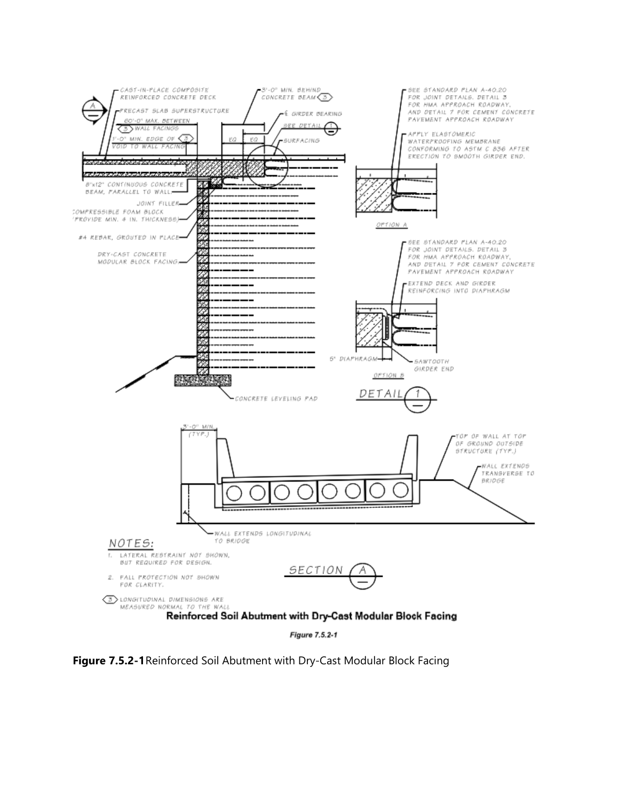

**Figure 7.5.2-1**Reinforced Soil Abutment with Dry-Cast Modular Block Facing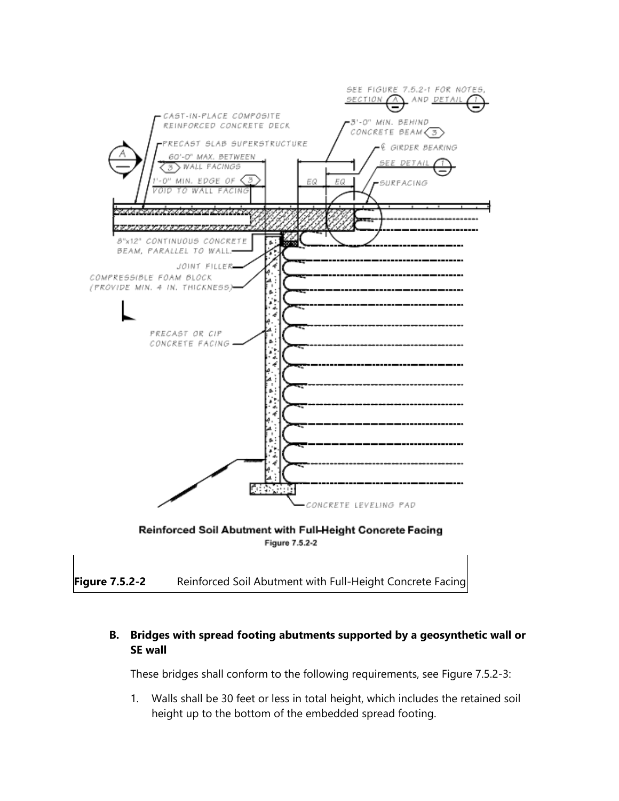

## **B. Bridges with spread footing abutments supported by a geosynthetic wall or SE wall**

These bridges shall conform to the following requirements, see Figure 7.5.2-3:

1. Walls shall be 30 feet or less in total height, which includes the retained soil height up to the bottom of the embedded spread footing.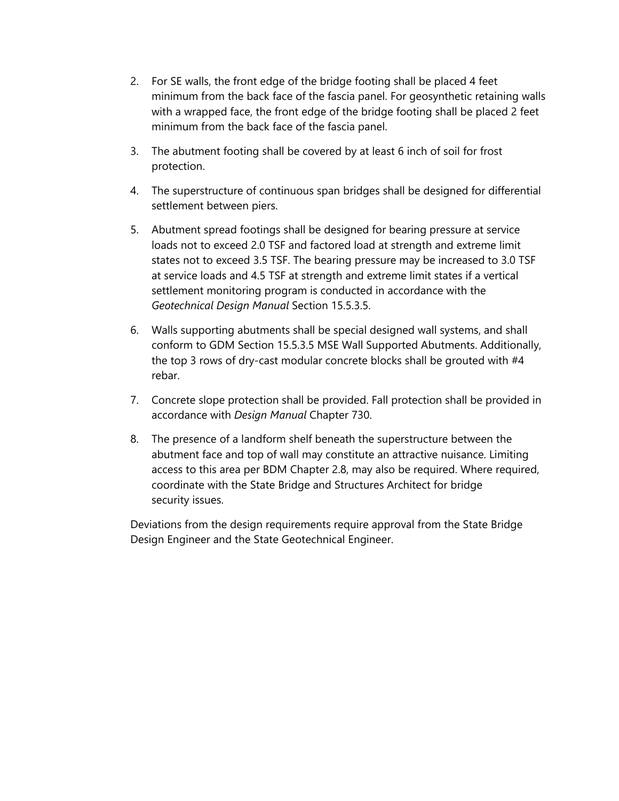- 2. For SE walls, the front edge of the bridge footing shall be placed 4 feet minimum from the back face of the fascia panel. For geosynthetic retaining walls with a wrapped face, the front edge of the bridge footing shall be placed 2 feet minimum from the back face of the fascia panel.
- 3. The abutment footing shall be covered by at least 6 inch of soil for frost protection.
- 4. The superstructure of continuous span bridges shall be designed for differential settlement between piers.
- 5. Abutment spread footings shall be designed for bearing pressure at service loads not to exceed 2.0 TSF and factored load at strength and extreme limit states not to exceed 3.5 TSF. The bearing pressure may be increased to 3.0 TSF at service loads and 4.5 TSF at strength and extreme limit states if a vertical settlement monitoring program is conducted in accordance with the *Geotechnical Design Manual* Section 15.5.3.5.
- 6. Walls supporting abutments shall be special designed wall systems, and shall conform to GDM Section 15.5.3.5 MSE Wall Supported Abutments. Additionally, the top 3 rows of dry-cast modular concrete blocks shall be grouted with #4 rebar.
- 7. Concrete slope protection shall be provided. Fall protection shall be provided in accordance with *Design Manual* Chapter 730.
- 8. The presence of a landform shelf beneath the superstructure between the abutment face and top of wall may constitute an attractive nuisance. Limiting access to this area per BDM Chapter 2.8, may also be required. Where required, coordinate with the State Bridge and Structures Architect for bridge security issues.

Deviations from the design requirements require approval from the State Bridge Design Engineer and the State Geotechnical Engineer.